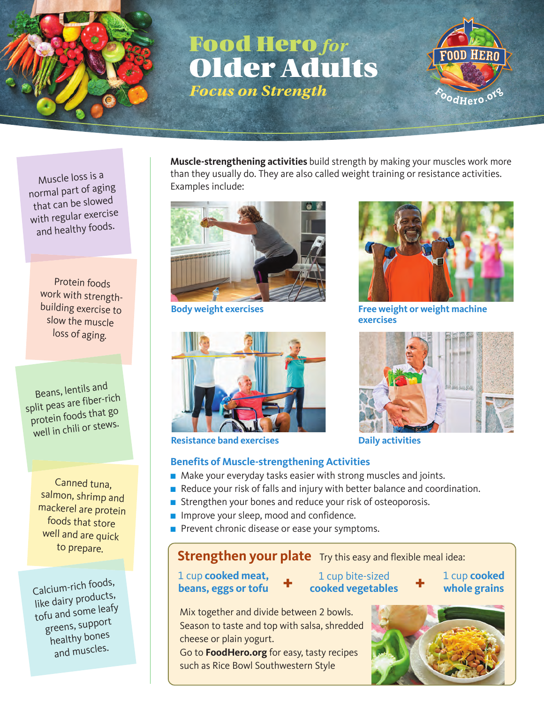

## **Food Hero** *for* **Older Adults** *Focus on Strength*



Muscle loss is a normal part of aging that can be slowe<sup>d</sup> with regular exercise and healthy foods.

Protein foods work with strengthbuilding exercise to slow the muscle loss of aging.

Beans, lentils an<sup>d</sup> split peas are fiber-rich protein foods that go well in chili or stews.

Canned tuna, salmon, shrimp and mackerel are protein foods that store well and are quick to prepare.

Calcium-rich foods, like dairy products, tofu and some leafy greens, support healthy bones and muscles.

**Muscle-strengthening activities** build strength by making your muscles work more than they usually do. They are also called weight training or resistance activities. Examples include:





**Resistance band exercises Daily activities** 

#### **Benefits of Muscle-strengthening Activities**

- Make your everyday tasks easier with strong muscles and joints.
- Reduce your risk of falls and injury with better balance and coordination.
- Strengthen your bones and reduce your risk of osteoporosis.
- Improve your sleep, mood and confidence.
- Prevent chronic disease or ease your symptoms.

### **Strengthen your plate** Try this easy and flexible meal idea:

cheese or plain yogurt.

**1** cup **cooked meat,**<br> **d t t cooked vegetables** 1 cup bite-sized **cooked vegetables**









**Body weight exercises Free weight or weight machine exercises**